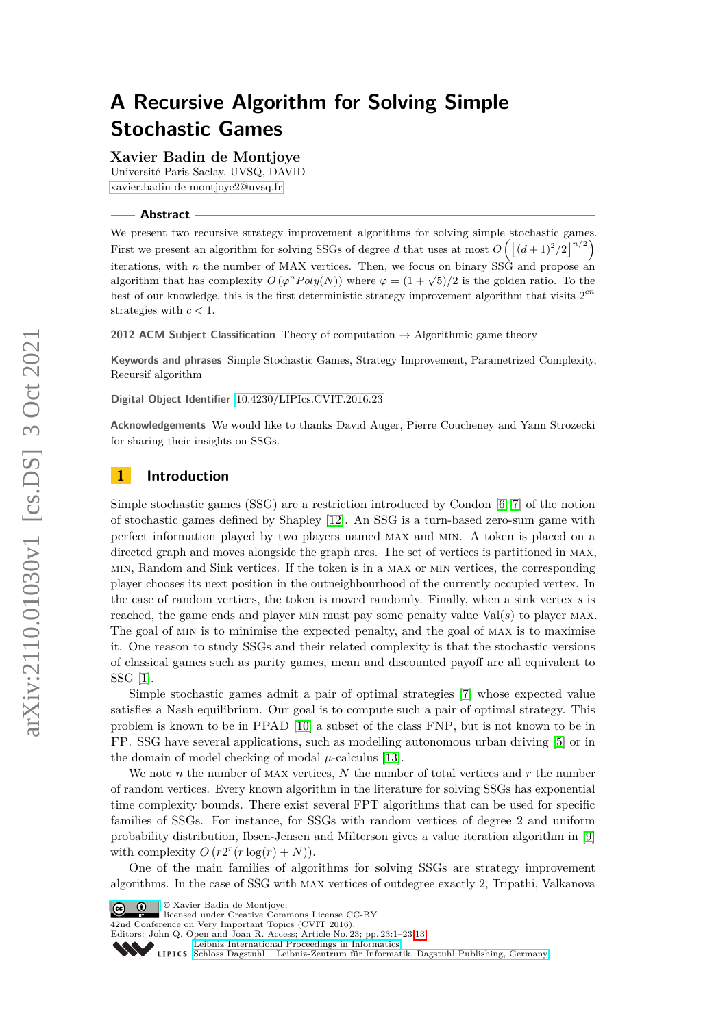# **A Recursive Algorithm for Solving Simple Stochastic Games**

### **Xavier Badin de Montjoye**

Université Paris Saclay, UVSQ, DAVID [xavier.badin-de-montjoye2@uvsq.fr](mailto:xavier.badin-de-montjoye2@uvsq.fr)

**Abstract**

We present two recursive strategy improvement algorithms for solving simple stochastic games. First we present an algorithm for solving SSGs of degree *d* that uses at most  $O\left(\frac{(d+1)^2}{2}\right)^{n/2}$ iterations, with *n* the number of MAX vertices. Then, we focus on binary SSG and propose an algorithm that has complexity  $O(\varphi^n Poly(N))$  where  $\varphi = (1 + \sqrt{5})/2$  is the golden ratio. To the best of our knowledge, this is the first deterministic strategy improvement algorithm that visits  $2^{cn}$ strategies with *c <* 1.

**2012 ACM Subject Classification** Theory of computation → Algorithmic game theory

**Keywords and phrases** Simple Stochastic Games, Strategy Improvement, Parametrized Complexity, Recursif algorithm

**Digital Object Identifier** [10.4230/LIPIcs.CVIT.2016.23](https://doi.org/10.4230/LIPIcs.CVIT.2016.23)

**Acknowledgements** We would like to thanks David Auger, Pierre Coucheney and Yann Strozecki for sharing their insights on SSGs.

# **1 Introduction**

Simple stochastic games (SSG) are a restriction introduced by Condon [\[6,](#page-12-0) [7\]](#page-12-1) of the notion of stochastic games defined by Shapley [\[12\]](#page-12-2). An SSG is a turn-based zero-sum game with perfect information played by two players named max and min. A token is placed on a directed graph and moves alongside the graph arcs. The set of vertices is partitioned in MAX. min, Random and Sink vertices. If the token is in a max or min vertices, the corresponding player chooses its next position in the outneighbourhood of the currently occupied vertex. In the case of random vertices, the token is moved randomly. Finally, when a sink vertex *s* is reached, the game ends and player MIN must pay some penalty value  $Val(s)$  to player MAX. The goal of min is to minimise the expected penalty, and the goal of max is to maximise it. One reason to study SSGs and their related complexity is that the stochastic versions of classical games such as parity games, mean and discounted payoff are all equivalent to SSG [\[1\]](#page-12-3).

Simple stochastic games admit a pair of optimal strategies [\[7\]](#page-12-1) whose expected value satisfies a Nash equilibrium. Our goal is to compute such a pair of optimal strategy. This problem is known to be in PPAD [\[10\]](#page-12-4) a subset of the class FNP, but is not known to be in FP. SSG have several applications, such as modelling autonomous urban driving [\[5\]](#page-12-5) or in the domain of model checking of modal  $\mu$ -calculus [\[13\]](#page-12-6).

We note *n* the number of max vertices, *N* the number of total vertices and *r* the number of random vertices. Every known algorithm in the literature for solving SSGs has exponential time complexity bounds. There exist several FPT algorithms that can be used for specific families of SSGs. For instance, for SSGs with random vertices of degree 2 and uniform probability distribution, Ibsen-Jensen and Milterson gives a value iteration algorithm in [\[9\]](#page-12-7) with complexity  $O(r2^r(r \log(r) + N)).$ 

One of the main families of algorithms for solving SSGs are strategy improvement algorithms. In the case of SSG with max vertices of outdegree exactly 2, Tripathi, Valkanova

© Xavier Badin de Montjoye; licensed under Creative Commons License CC-BY

42nd Conference on Very Important Topics (CVIT 2016).

Editors: John Q. Open and Joan R. Access; Article No. 23; pp. 23:1–23[:13](#page-12-8)

[Leibniz International Proceedings in Informatics](https://www.dagstuhl.de/lipics/)

Leibniz International Froceedings in Informatik, Dagstuhl Publishing, Germany<br>LIPICS [Schloss Dagstuhl – Leibniz-Zentrum für Informatik, Dagstuhl Publishing, Germany](https://www.dagstuhl.de)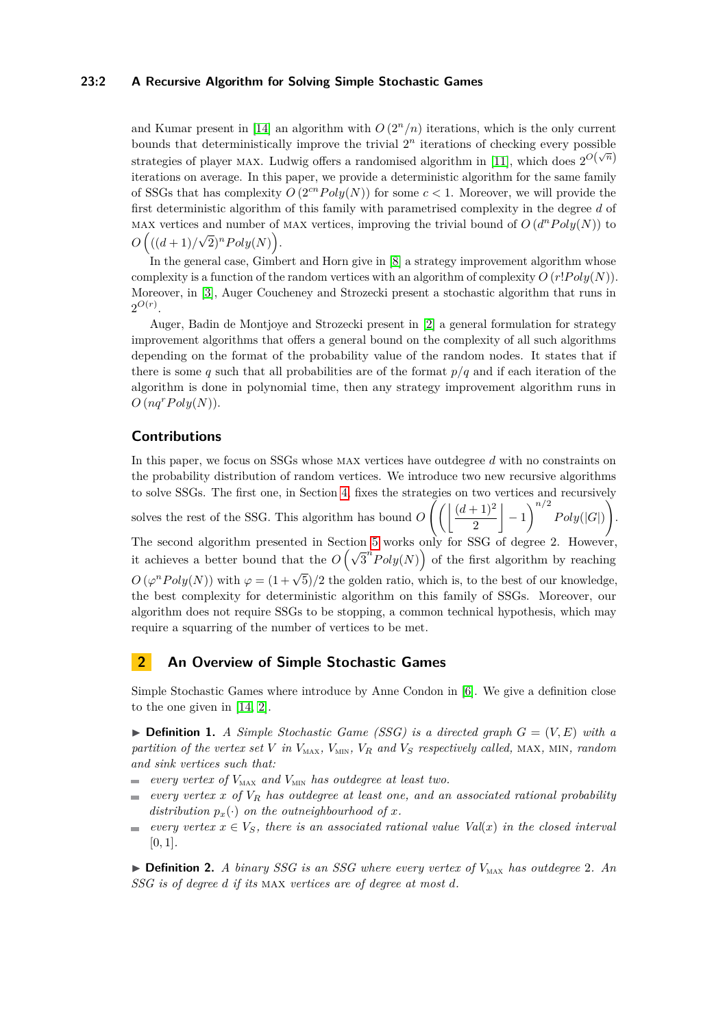### **23:2 A Recursive Algorithm for Solving Simple Stochastic Games**

and Kumar present in [\[14\]](#page-12-9) an algorithm with  $O(2^n/n)$  iterations, which is the only current bounds that deterministically improve the trivial  $2<sup>n</sup>$  iterations of checking every possible strategies of player MAX. Ludwig offers a randomised algorithm in [\[11\]](#page-12-10), which does  $2^{O(\sqrt{n})}$ iterations on average. In this paper, we provide a deterministic algorithm for the same family of SSGs that has complexity  $O(2^{cn} Poly(N))$  for some  $c < 1$ . Moreover, we will provide the first deterministic algorithm of this family with parametrised complexity in the degree *d* of MAX vertices and number of MAX vertices, improving the trivial bound of  $O(d^nPoly(N))$  to  $O((d+1)/$  $\sqrt{2}$ <sup>*n*</sup>*Poly*(*N*).

In the general case, Gimbert and Horn give in [\[8\]](#page-12-11) a strategy improvement algorithm whose complexity is a function of the random vertices with an algorithm of complexity  $O(r!Pol(y|N))$ . Moreover, in [\[3\]](#page-12-12), Auger Coucheney and Strozecki present a stochastic algorithm that runs in  $2^{O(r)}$ .

Auger, Badin de Montjoye and Strozecki present in [\[2\]](#page-12-13) a general formulation for strategy improvement algorithms that offers a general bound on the complexity of all such algorithms depending on the format of the probability value of the random nodes. It states that if there is some q such that all probabilities are of the format  $p/q$  and if each iteration of the algorithm is done in polynomial time, then any strategy improvement algorithm runs in  $O(nq^rPoly(N)).$ 

### **Contributions**

In this paper, we focus on SSGs whose max vertices have outdegree *d* with no constraints on the probability distribution of random vertices. We introduce two new recursive algorithms to solve SSGs. The first one, in Section [4,](#page-7-0) fixes the strategies on two vertices and recursively solves the rest of the SSG. This algorithm has bound  $O\left(\frac{d+1}{2}\right)$ 2  $\Big| -1 \Big|^{n/2} Poly(|G|)$  $\setminus$ . The second algorithm presented in Section [5](#page-9-0) works only for SSG of degree 2. However, it achieves a better bound that the  $O(\sqrt{3}^nPoly(N))$  of the first algorithm by reaching  $O(\varphi^nPoly(N))$  with  $\varphi = (1 + \sqrt{5})/2$  the golden ratio, which is, to the best of our knowledge, the best complexity for deterministic algorithm on this family of SSGs. Moreover, our algorithm does not require SSGs to be stopping, a common technical hypothesis, which may require a squarring of the number of vertices to be met.

# **2 An Overview of Simple Stochastic Games**

Simple Stochastic Games where introduce by Anne Condon in [\[6\]](#page-12-0). We give a definition close to the one given in [\[14,](#page-12-9) [2\]](#page-12-13).

 $\triangleright$  **Definition 1.** *A Simple Stochastic Game (SSG) is a directed graph*  $G = (V, E)$  *with a partition of the vertex set V in*  $V_{\text{MAX}}$ *,*  $V_{\text{MIN}}$ *,*  $V_R$  *and*  $V_S$  *respectively called,* MAX*,* MIN*, random and sink vertices such that:*

- $e^{i\omega t}$  *every vertex of*  $V_{\text{MAX}}$  *and*  $V_{\text{MIN}}$  *has outdegree at least two.*
- *every vertex x of V<sup>R</sup> has outdegree at least one, and an associated rational probability*  $\overline{\phantom{a}}$ *distribution*  $p_x(\cdot)$  *on the outneighbourhood of x.*
- *every vertex*  $x \in V_S$ *, there is an associated rational value*  $Val(x)$  *in the closed interval*  $\blacksquare$ [0*,* 1]*.*

 $\triangleright$  **Definition 2.** *A binary SSG is an SSG where every vertex of*  $V_{\text{MAX}}$  *has outdegree 2. An SSG is of degree d if its* max *vertices are of degree at most d.*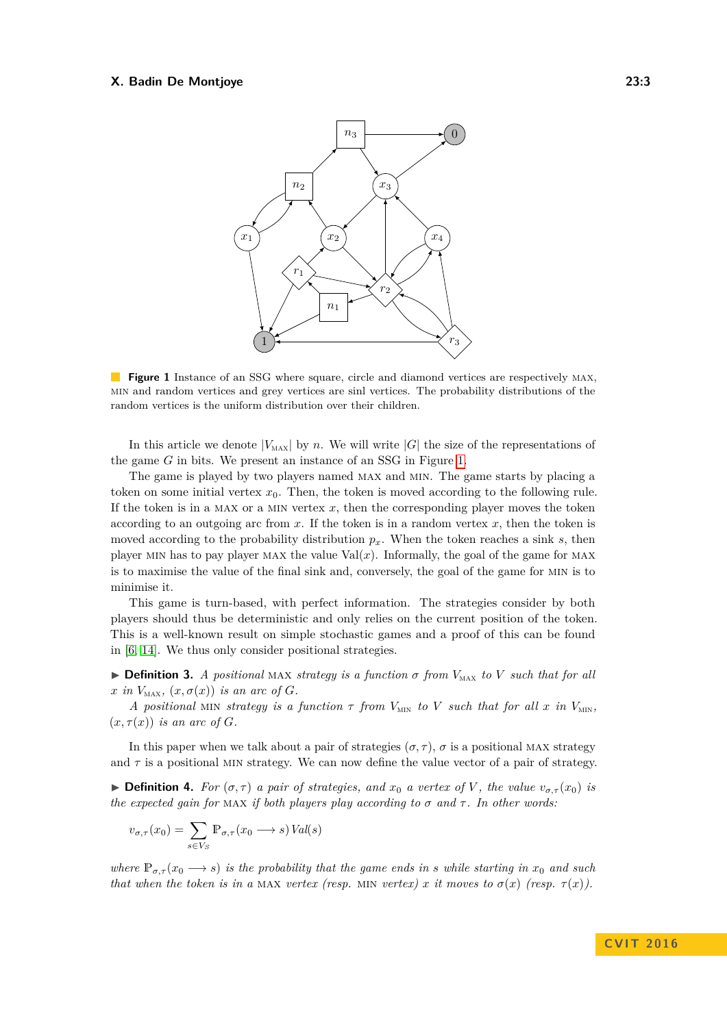<span id="page-2-0"></span>

**Figure 1** Instance of an SSG where square, circle and diamond vertices are respectively MAX, min and random vertices and grey vertices are sinl vertices. The probability distributions of the random vertices is the uniform distribution over their children.

In this article we denote  $|V_{\text{MAX}}|$  by *n*. We will write  $|G|$  the size of the representations of the game *G* in bits. We present an instance of an SSG in Figure [1.](#page-2-0)

The game is played by two players named max and min. The game starts by placing a token on some initial vertex  $x_0$ . Then, the token is moved according to the following rule. If the token is in a MAX or a MIN vertex  $x$ , then the corresponding player moves the token according to an outgoing arc from *x*. If the token is in a random vertex *x*, then the token is moved according to the probability distribution  $p_x$ . When the token reaches a sink *s*, then player MIN has to pay player MAX the value Val $(x)$ . Informally, the goal of the game for MAX is to maximise the value of the final sink and, conversely, the goal of the game for min is to minimise it.

This game is turn-based, with perfect information. The strategies consider by both players should thus be deterministic and only relies on the current position of the token. This is a well-known result on simple stochastic games and a proof of this can be found in [\[6,](#page-12-0) [14\]](#page-12-9). We thus only consider positional strategies.

 $\triangleright$  **Definition 3.** *A positional* MAX *strategy is a function*  $\sigma$  *from*  $V_{\text{MAX}}$  *to V such that for all*  $x$  *in*  $V_{\text{MAX}}$ *,*  $(x, \sigma(x))$  *is an arc of G.* 

*A* positional MIN strategy is a function  $\tau$  from  $V_{\text{MIN}}$  to V such that for all  $x$  in  $V_{\text{MIN}}$ ,  $(x, \tau(x))$  *is an arc of G*.

In this paper when we talk about a pair of strategies  $(\sigma, \tau)$ ,  $\sigma$  is a positional MAX strategy and  $\tau$  is a positional MIN strategy. We can now define the value vector of a pair of strategy.

 $\blacktriangleright$  **Definition 4.** *For* ( $\sigma, \tau$ ) *a pair of strategies, and*  $x_0$  *a vertex of V*, *the value*  $v_{\sigma,\tau}(x_0)$  *is the expected gain for* MAX *if both players play according to*  $\sigma$  *and*  $\tau$ *. In other words:* 

$$
v_{\sigma,\tau}(x_0) = \sum_{s \in V_S} \mathbb{P}_{\sigma,\tau}(x_0 \longrightarrow s) \operatorname{Val}(s)
$$

*where*  $\mathbb{P}_{\sigma,\tau}(x_0 \to s)$  *is the probability that the game ends in s while starting in*  $x_0$  *and such that when the token is in a* MAX *vertex (resp.* MIN *vertex) x it moves to*  $\sigma(x)$  (*resp.*  $\tau(x)$ *).* 

**C V I T 2 0 1 6**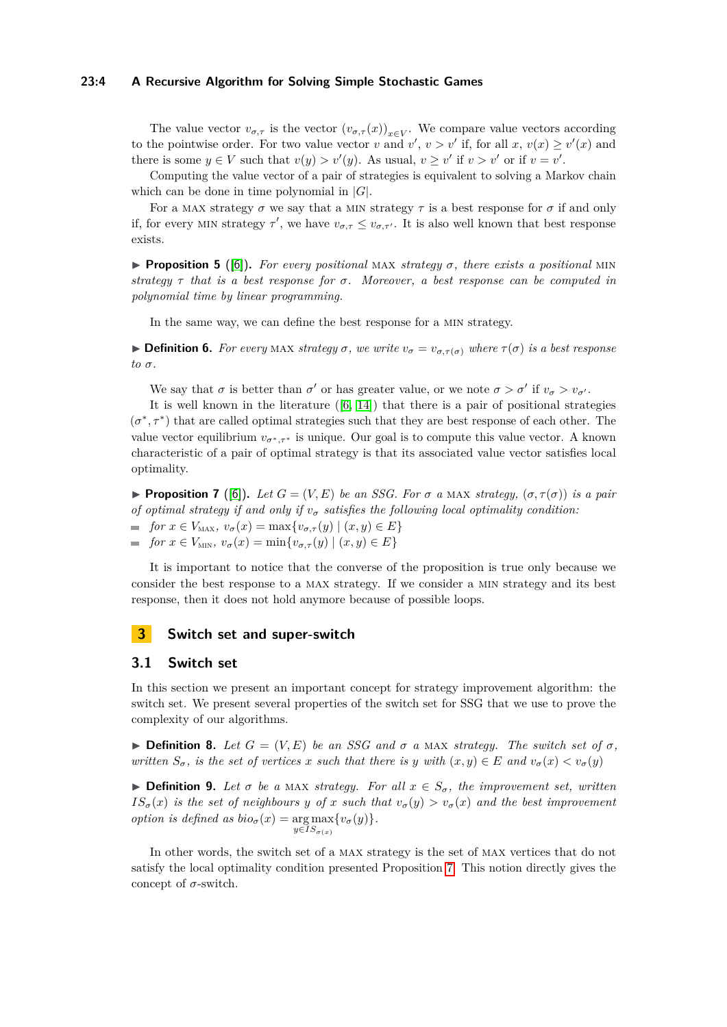### **23:4 A Recursive Algorithm for Solving Simple Stochastic Games**

The value vector  $v_{\sigma,\tau}$  is the vector  $(v_{\sigma,\tau}(x))_{x\in V}$ . We compare value vectors according to the pointwise order. For two value vector *v* and  $v'$ ,  $v > v'$  if, for all  $x, v(x) \ge v'(x)$  and there is some  $y \in V$  such that  $v(y) > v'(y)$ . As usual,  $v \geq v'$  if  $v > v'$  or if  $v = v'$ .

Computing the value vector of a pair of strategies is equivalent to solving a Markov chain which can be done in time polynomial in |*G*|.

For a MAX strategy  $\sigma$  we say that a MIN strategy  $\tau$  is a best response for  $\sigma$  if and only if, for every MIN strategy  $\tau'$ , we have  $v_{\sigma,\tau} \le v_{\sigma,\tau'}$ . It is also well known that best response exists.

**Proposition 5** ([\[6\]](#page-12-0)). For every positional MAX *strategy*  $\sigma$ , there exists a positional MIN *strategy τ that is a best response for σ. Moreover, a best response can be computed in polynomial time by linear programming.*

In the same way, we can define the best response for a min strategy.

**Definition 6.** For every MAX strategy  $\sigma$ , we write  $v_{\sigma} = v_{\sigma,\tau(\sigma)}$  where  $\tau(\sigma)$  is a best response  $to \sigma$ .

We say that  $\sigma$  is better than  $\sigma'$  or has greater value, or we note  $\sigma > \sigma'$  if  $v_{\sigma} > v_{\sigma'}$ .

It is well known in the literature  $([6, 14])$  $([6, 14])$  $([6, 14])$  $([6, 14])$  $([6, 14])$  that there is a pair of positional strategies  $(\sigma^*, \tau^*)$  that are called optimal strategies such that they are best response of each other. The value vector equilibrium  $v_{\sigma^*,\tau^*}$  is unique. Our goal is to compute this value vector. A known characteristic of a pair of optimal strategy is that its associated value vector satisfies local optimality.

<span id="page-3-0"></span>**Proposition 7** ([\[6\]](#page-12-0)). Let  $G = (V, E)$  be an SSG. For  $\sigma$  a MAX strategy,  $(\sigma, \tau(\sigma))$  is a pair *of optimal strategy if and only if*  $v_\sigma$  *satisfies the following local optimality condition:*  $f \text{ or } x \in V_{\text{MAX}}$ ,  $v_{\sigma}(x) = \max\{v_{\sigma,\tau}(y) \mid (x, y) \in E\}$  $f \circ f$  *for x* ∈ *V*<sub>MIN</sub>, *v<sub>σ</sub>*(*x*) = min{*v<sub>σ</sub>*,*τ*(*y*) | (*x*, *y*) ∈ *E*}

It is important to notice that the converse of the proposition is true only because we consider the best response to a max strategy. If we consider a min strategy and its best response, then it does not hold anymore because of possible loops.

# **3 Switch set and super-switch**

### **3.1 Switch set**

In this section we present an important concept for strategy improvement algorithm: the switch set. We present several properties of the switch set for SSG that we use to prove the complexity of our algorithms.

 $\triangleright$  **Definition 8.** Let  $G = (V, E)$  be an SSG and  $\sigma$  a MAX strategy. The switch set of  $\sigma$ , *written*  $S_{\sigma}$ , *is the set of vertices x such that there is y with*  $(x, y) \in E$  *and*  $v_{\sigma}(x) < v_{\sigma}(y)$ 

 $▶$  **Definition 9.** *Let σ be a* MAX *strategy. For all*  $x \in S_{σ}$ *, the improvement set, written*  $IS_{\sigma}(x)$  *is the set of neighbours y of x such that*  $v_{\sigma}(y) > v_{\sigma}(x)$  *and the best improvement option is defined as*  $bio_{\sigma}(x) = \arg \max \{v_{\sigma}(y)\}.$  $y \in IS_{\sigma(x)}$ 

In other words, the switch set of a max strategy is the set of max vertices that do not satisfy the local optimality condition presented Proposition [7.](#page-3-0) This notion directly gives the concept of *σ*-switch.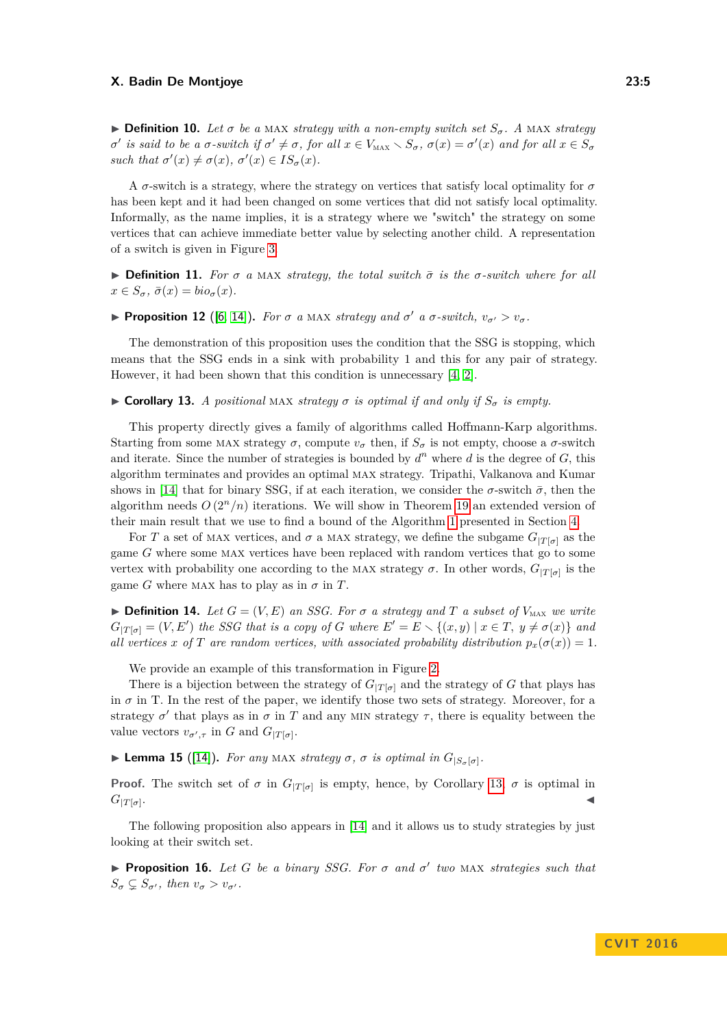$\triangleright$  **Definition 10.** Let  $\sigma$  be a MAX *strategy with a non-empty switch set*  $S_{\sigma}$ . A MAX *strategy*  $\sigma'$  is said to be a  $\sigma$ -switch if  $\sigma' \neq \sigma$ , for all  $x \in V_{\text{MAX}} \setminus S_{\sigma}$ ,  $\sigma(x) = \sigma'(x)$  and for all  $x \in S_{\sigma}$ *such that*  $\sigma'(x) \neq \sigma(x)$ ,  $\sigma'(x) \in IS_{\sigma}(x)$ .

A *σ*-switch is a strategy, where the strategy on vertices that satisfy local optimality for *σ* has been kept and it had been changed on some vertices that did not satisfy local optimality. Informally, as the name implies, it is a strategy where we "switch" the strategy on some vertices that can achieve immediate better value by selecting another child. A representation of a switch is given in Figure [3.](#page-6-0)

 $\triangleright$  **Definition 11.** For *σ a* MAX *strategy, the total switch*  $\bar{\sigma}$  *is the σ*-*switch where for all*  $x \in S_{\sigma}$ ,  $\bar{\sigma}(x) = bi\sigma_{\sigma}(x)$ .

<span id="page-4-2"></span>**Proposition 12** ([\[6,](#page-12-0) [14\]](#page-12-9)). *For*  $\sigma$  *a* MAX *strategy and*  $\sigma'$  *a*  $\sigma$ *-switch,*  $v_{\sigma'} > v_{\sigma}$ *.* 

The demonstration of this proposition uses the condition that the SSG is stopping, which means that the SSG ends in a sink with probability 1 and this for any pair of strategy. However, it had been shown that this condition is unnecessary [\[4,](#page-12-14) [2\]](#page-12-13).

<span id="page-4-0"></span> $\triangleright$  **Corollary 13.** *A positional* MAX *strategy*  $\sigma$  *is optimal if and only if*  $S_{\sigma}$  *is empty.* 

This property directly gives a family of algorithms called Hoffmann-Karp algorithms. Starting from some MAX strategy  $\sigma$ , compute  $v_{\sigma}$  then, if  $S_{\sigma}$  is not empty, choose a  $\sigma$ -switch and iterate. Since the number of strategies is bounded by  $d^n$  where  $d$  is the degree of  $G$ , this algorithm terminates and provides an optimal max strategy. Tripathi, Valkanova and Kumar shows in [\[14\]](#page-12-9) that for binary SSG, if at each iteration, we consider the  $\sigma$ -switch  $\bar{\sigma}$ , then the algorithm needs  $O(2^n/n)$  iterations. We will show in Theorem [19](#page-7-1) an extended version of their main result that we use to find a bound of the Algorithm [1](#page-8-0) presented in Section [4.](#page-7-0)

For *T* a set of MAX vertices, and  $\sigma$  a MAX strategy, we define the subgame  $G_{|T[\sigma]}$  as the game *G* where some max vertices have been replaced with random vertices that go to some vertex with probability one according to the MAX strategy  $\sigma$ . In other words,  $G_{|T[\sigma]}$  is the game *G* where MAX has to play as in  $\sigma$  in *T*.

 $\triangleright$  **Definition 14.** Let  $G = (V, E)$  an SSG. For  $\sigma$  a strategy and T a subset of  $V_{\text{MAX}}$  we write  $G_{|T[\sigma]} = (V, E')$  *the SSG that is a copy of G where*  $E' = E \setminus \{(x, y) | x \in T, y \neq \sigma(x)\}$  *and all vertices x of T are random vertices, with associated probability distribution*  $p_x(\sigma(x)) = 1$ .

We provide an example of this transformation in Figure [2.](#page-5-0)

There is a bijection between the strategy of  $G_{|T[\sigma]}$  and the strategy of *G* that plays has in  $\sigma$  in T. In the rest of the paper, we identify those two sets of strategy. Moreover, for a strategy  $\sigma'$  that plays as in  $\sigma$  in *T* and any MIN strategy  $\tau$ , there is equality between the value vectors  $v_{\sigma',\tau}$  in *G* and  $G_{|T[\sigma]}.$ 

<span id="page-4-1"></span>**Example 15** ([\[14\]](#page-12-9)). For any MAX *strategy*  $\sigma$ ,  $\sigma$  *is optimal in*  $G_{|S_{\sigma}[\sigma]}$ .

**Proof.** The switch set of  $\sigma$  in  $G_{|T[\sigma]}$  is empty, hence, by Corollary [13,](#page-4-0)  $\sigma$  is optimal in  $G_{|T[\sigma]}.$ . January 1980, January 1980, January 1980, January 1980, January 1980, January 1980, January 1980, January 19<br>Jeografia

The following proposition also appears in [\[14\]](#page-12-9) and it allows us to study strategies by just looking at their switch set.

<span id="page-4-3"></span>**Proposition 16.** *Let G be a binary SSG. For*  $\sigma$  *and*  $\sigma'$  *two* MAX *strategies such that*  $S_{\sigma} \subsetneq S_{\sigma'}$ , then  $v_{\sigma} > v_{\sigma'}$ .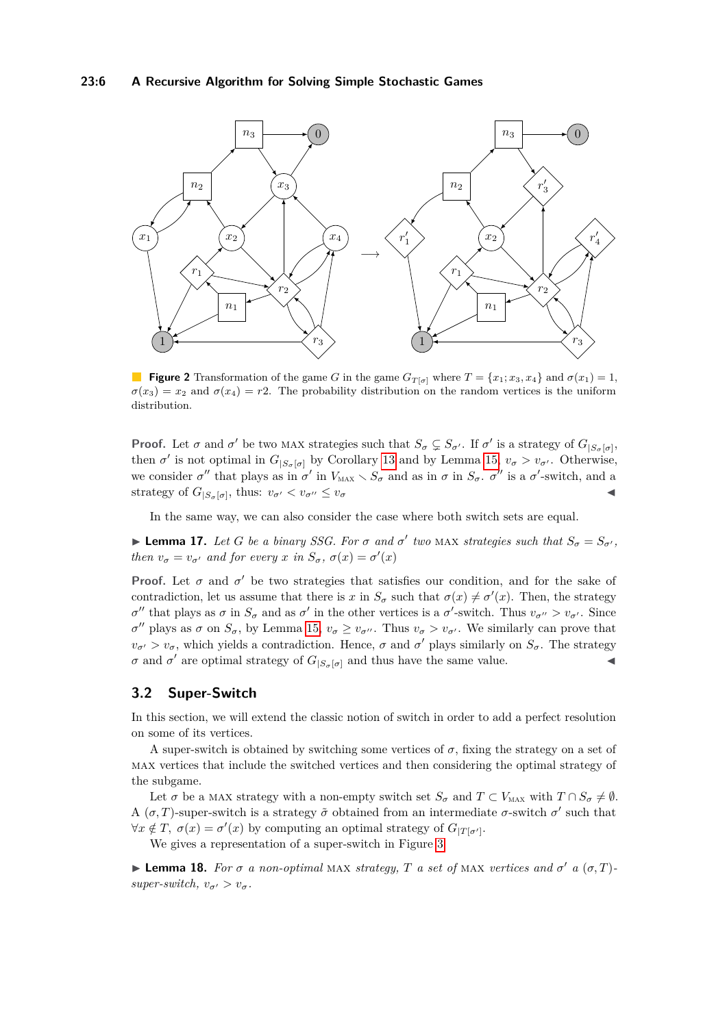### **23:6 A Recursive Algorithm for Solving Simple Stochastic Games**

<span id="page-5-0"></span>

**Figure 2** Transformation of the game *G* in the game  $G_{T[\sigma]}$  where  $T = \{x_1, x_3, x_4\}$  and  $\sigma(x_1) = 1$ ,  $\sigma(x_3) = x_2$  and  $\sigma(x_4) = r$ ?. The probability distribution on the random vertices is the uniform distribution.

**Proof.** Let  $\sigma$  and  $\sigma'$  be two MAX strategies such that  $S_{\sigma} \subsetneq S_{\sigma'}$ . If  $\sigma'$  is a strategy of  $G_{|S_{\sigma}[\sigma]}$ , then  $\sigma'$  is not optimal in  $G_{|S_{\sigma}[\sigma]}$  by Corollary [13](#page-4-0) and by Lemma [15,](#page-4-1)  $v_{\sigma} > v_{\sigma'}$ . Otherwise, we consider  $\sigma''$  that plays as in  $\sigma'$  in  $V_{\text{MAX}} \setminus S_{\sigma}$  and as in  $\sigma$  in  $S_{\sigma}$ .  $\sigma''$  is a  $\sigma'$ -switch, and a strategy of  $G_{|S_{\sigma}[\sigma]}$ , thus:  $v_{\sigma'} < v_{\sigma''} \le v_{\sigma}$ 

In the same way, we can also consider the case where both switch sets are equal.

**Example 17.** Let G be a binary SSG. For  $\sigma$  and  $\sigma'$  two MAX strategies such that  $S_{\sigma} = S_{\sigma'}$ , *then*  $v_{\sigma} = v_{\sigma'}$  *and for every x in*  $S_{\sigma}$ *,*  $\sigma(x) = \sigma'(x)$ 

**Proof.** Let  $\sigma$  and  $\sigma'$  be two strategies that satisfies our condition, and for the sake of contradiction, let us assume that there is *x* in  $S_{\sigma}$  such that  $\sigma(x) \neq \sigma'(x)$ . Then, the strategy  $σ''$  that plays as *σ* in  $S_σ$  and as  $σ'$  in the other vertices is a  $σ'$ -switch. Thus  $v_{σ''} > v_{σ'}$ . Since *σ*<sup>*n*</sup> plays as *σ* on  $S_{\sigma}$ , by Lemma [15,](#page-4-1)  $v_{\sigma} \ge v_{\sigma}$ <sup>*n*</sup>. Thus  $v_{\sigma} > v_{\sigma}$ *i*. We similarly can prove that  $v_{\sigma}$  >  $v_{\sigma}$ , which yields a contradiction. Hence,  $\sigma$  and  $\sigma'$  plays similarly on  $S_{\sigma}$ . The strategy *σ* and *σ*<sup>'</sup> are optimal strategy of  $G_{|S_{\sigma}[\sigma]}$  and thus have the same value.

# **3.2 Super-Switch**

In this section, we will extend the classic notion of switch in order to add a perfect resolution on some of its vertices.

A super-switch is obtained by switching some vertices of  $\sigma$ , fixing the strategy on a set of max vertices that include the switched vertices and then considering the optimal strategy of the subgame.

Let  $\sigma$  be a MAX strategy with a non-empty switch set  $S_{\sigma}$  and  $T \subset V_{\text{MAX}}$  with  $T \cap S_{\sigma} \neq \emptyset$ . A  $(\sigma, T)$ -super-switch is a strategy  $\tilde{\sigma}$  obtained from an intermediate  $\sigma$ -switch  $\sigma'$  such that  $\forall x \notin T$ ,  $\sigma(x) = \sigma'(x)$  by computing an optimal strategy of  $G_{|T[\sigma']}$ .

We gives a representation of a super-switch in Figure [3](#page-6-0)

**Example 18.** For  $\sigma$  a non-optimal MAX strategy, T a set of MAX vertices and  $\sigma'$  a  $(\sigma, T)$ *super-switch,*  $v_{\sigma}$   $> v_{\sigma}$ .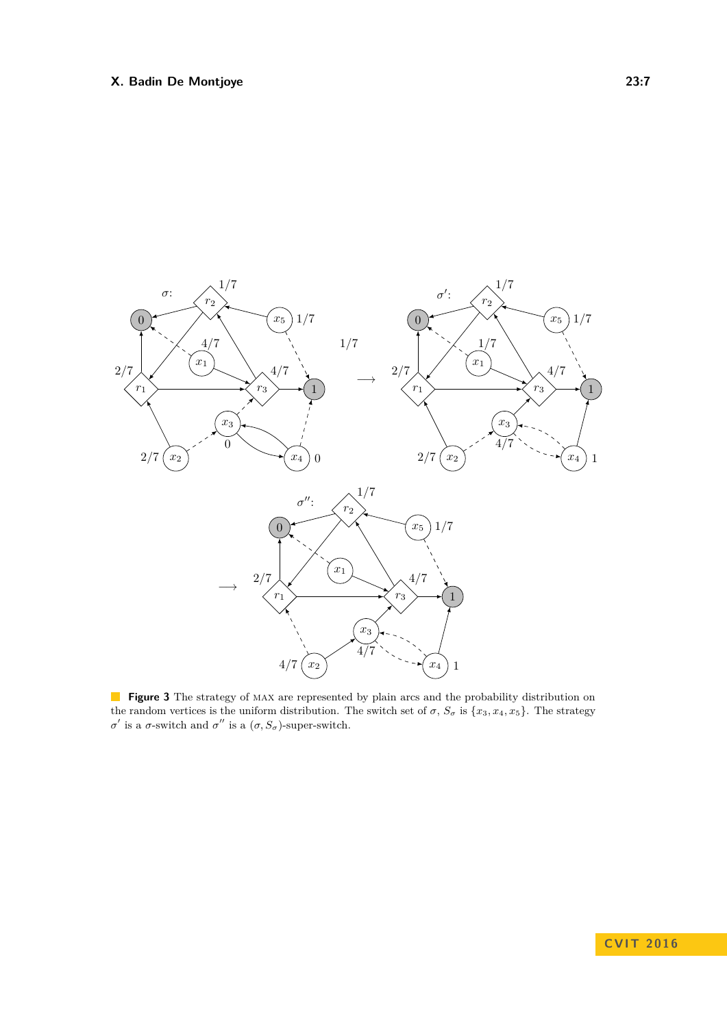<span id="page-6-0"></span>

**Figure 3** The strategy of MAX are represented by plain arcs and the probability distribution on the random vertices is the uniform distribution. The switch set of  $\sigma$ ,  $S_{\sigma}$  is  $\{x_3, x_4, x_5\}$ . The strategy *σ*<sup>'</sup> is a *σ*-switch and *σ*<sup>''</sup> is a  $(σ, S<sub>σ</sub>)$ -super-switch.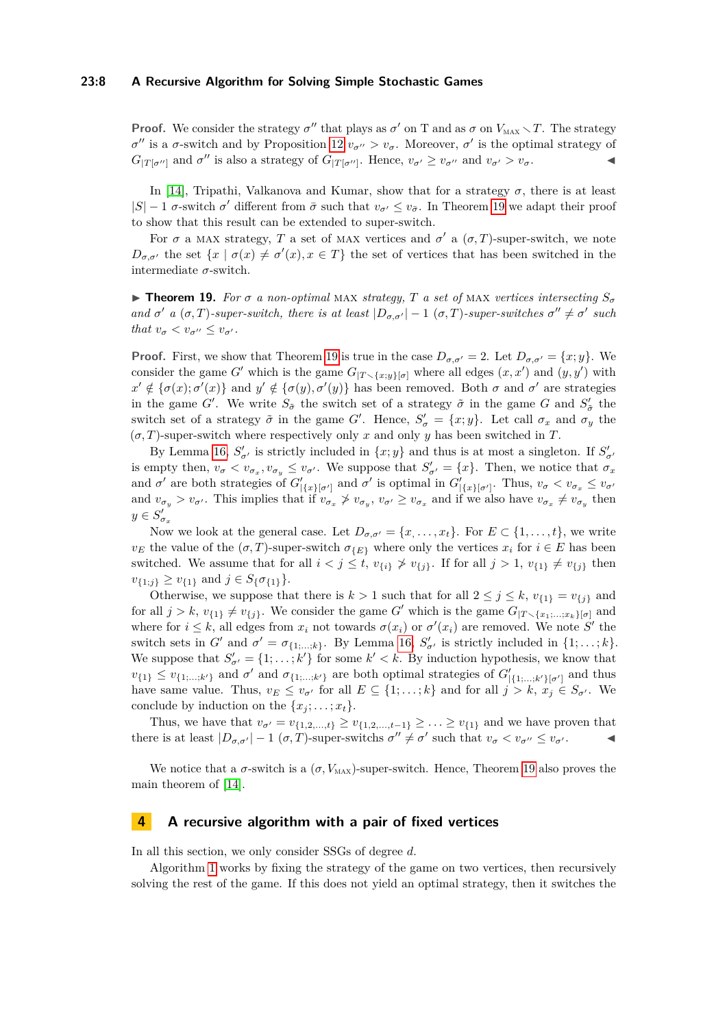### **23:8 A Recursive Algorithm for Solving Simple Stochastic Games**

**Proof.** We consider the strategy  $\sigma''$  that plays as  $\sigma'$  on T and as  $\sigma$  on  $V_{\text{MAX}} \setminus T$ . The strategy *σ*<sup>"</sup> is a *σ*-switch and by Proposition [12](#page-4-2)  $v_{\sigma}$ <sup>*,*</sup> >  $v_{\sigma}$ . Moreover, *σ*<sup>'</sup> is the optimal strategy of  $G_{|T|\sigma''|}$  and  $\sigma''$  is also a strategy of  $G_{|T|\sigma''|}$ . Hence,  $v_{\sigma'} \ge v_{\sigma''}$  and  $v_{\sigma'} > v_{\sigma}$ .

In [\[14\]](#page-12-9), Tripathi, Valkanova and Kumar, show that for a strategy *σ*, there is at least  $|S| - 1$  *σ*-switch *σ*<sup>'</sup> different from  $\bar{\sigma}$  such that  $v_{\sigma'} \le v_{\bar{\sigma}}$ . In Theorem [19](#page-7-1) we adapt their proof to show that this result can be extended to super-switch.

For  $\sigma$  a MAX strategy, *T* a set of MAX vertices and  $\sigma'$  a  $(\sigma, T)$ -super-switch, we note  $D_{\sigma,\sigma'}$  the set  $\{x \mid \sigma(x) \neq \sigma'(x), x \in T\}$  the set of vertices that has been switched in the intermediate  $\sigma$ -switch.

<span id="page-7-1"></span>**Find 19.** For  $\sigma$  *a non-optimal MAX strategy, T a set of MAX vertices intersecting*  $S_{\sigma}$ *and*  $\sigma'$  *a* ( $\sigma$ , *T*)*-super-switch, there is at least*  $|D_{\sigma,\sigma'}| - 1$  ( $\sigma$ , *T*)*-super-switches*  $\sigma'' \neq \sigma'$  *such that*  $v_{\sigma} < v_{\sigma}$ <sup>*,*</sup>  $\le v_{\sigma'}$ .

**Proof.** First, we show that Theorem [19](#page-7-1) is true in the case  $D_{\sigma,\sigma'} = 2$ . Let  $D_{\sigma,\sigma'} = \{x, y\}$ . We consider the game *G*' which is the game  $G_{[T \setminus \{x,y\}[\sigma]}$  where all edges  $(x, x')$  and  $(y, y')$  with  $x' \notin {\sigma(x) : \sigma'(x)}$  and  $y' \notin {\sigma(y), \sigma'(y)}$  has been removed. Both  $\sigma$  and  $\sigma'$  are strategies in the game *G'*. We write  $S_{\tilde{\sigma}}$  the switch set of a strategy  $\tilde{\sigma}$  in the game *G* and  $S'_{\tilde{\sigma}}$  the switch set of a strategy  $\tilde{\sigma}$  in the game *G'*. Hence,  $S'_{\sigma} = \{x, y\}$ . Let call  $\sigma_x$  and  $\sigma_y$  the  $(\sigma, T)$ -super-switch where respectively only *x* and only *y* has been switched in *T*.

By Lemma [16,](#page-4-3)  $S'_{\sigma'}$  is strictly included in  $\{x, y\}$  and thus is at most a singleton. If  $S'_{\sigma'}$ is empty then,  $v_{\sigma} < v_{\sigma_x}, v_{\sigma_y} \le v_{\sigma'}$ . We suppose that  $S'_{\sigma'} = \{x\}$ . Then, we notice that  $\sigma_x$ and  $\sigma'$  are both strategies of  $G'_{|\{x\}[\sigma']}$  and  $\sigma'$  is optimal in  $G'_{|\{x\}[\sigma']}$ . Thus,  $v_{\sigma} < v_{\sigma_x} \leq v_{\sigma'}$ and  $v_{\sigma_y} > v_{\sigma'}$ . This implies that if  $v_{\sigma_x} \not> v_{\sigma_y}$ ,  $v_{\sigma'} \ge v_{\sigma_x}$  and if we also have  $v_{\sigma_x} \ne v_{\sigma_y}$  then  $y \in S'_{\sigma_x}$ 

Now we look at the general case. Let  $D_{\sigma,\sigma'} = \{x, \ldots, x_t\}$ . For  $E \subset \{1, \ldots, t\}$ , we write *v<sub>E</sub>* the value of the  $(\sigma, T)$ -super-switch  $\sigma_{\{E\}}$  where only the vertices  $x_i$  for  $i \in E$  has been switched. We assume that for all  $i < j \leq t$ ,  $v_{\{i\}} \nless v_{\{j\}}$ . If for all  $j > 1$ ,  $v_{\{1\}} \neq v_{\{j\}}$  then  $v_{\{1;j\}} \ge v_{\{1\}}$  and  $j \in S_{\{\sigma_{\{1\}}\}\}.$ 

Otherwise, we suppose that there is  $k > 1$  such that for all  $2 \leq j \leq k$ ,  $v_{\{1\}} = v_{\{j\}}$  and for all  $j > k$ ,  $v_{\{1\}} \neq v_{\{j\}}$ . We consider the game *G*' which is the game  $G_{|T \setminus \{x_1, \ldots, x_k\}[\sigma]}$  and where for  $i \leq k$ , all edges from  $x_i$  not towards  $\sigma(x_i)$  or  $\sigma'(x_i)$  are removed. We note  $S'$  the switch sets in *G*<sup>'</sup> and  $\sigma' = \sigma_{\{1,\ldots,k\}}$ . By Lemma [16,](#page-4-3)  $S'_{\sigma'}$  is strictly included in  $\{1,\ldots,k\}$ . We suppose that  $S'_{\sigma'} = \{1, \ldots, k'\}$  for some  $k' < k$ . By induction hypothesis, we know that  $v_{\{1\}} \leq v_{\{1,\dots,k'\}}$  and  $\sigma'$  and  $\sigma_{\{1,\dots,k'\}}$  are both optimal strategies of  $G'_{|\{1,\dots,k'\}[\sigma']}$  and thus have same value. Thus,  $v_E \le v_{\sigma'}$  for all  $E \subseteq \{1, \ldots, k\}$  and for all  $j > k, x_j \in S_{\sigma'}$ . We conclude by induction on the  $\{x_i; \ldots; x_t\}.$ 

Thus, we have that  $v_{\sigma'} = v_{\{1,2,...,t\}} \ge v_{\{1,2,...,t-1\}} \ge ... \ge v_{\{1\}}$  and we have proven that there is at least  $|D_{\sigma,\sigma'}| - 1$   $(\sigma,T)$ -super-switchs  $\sigma'' \neq \sigma'$  such that  $v_{\sigma} < v_{\sigma''} \leq v_{\sigma'}$ .

We notice that a  $\sigma$ -switch is a  $(\sigma, V_{\text{MAX}})$ -super-switch. Hence, Theorem [19](#page-7-1) also proves the main theorem of [\[14\]](#page-12-9).

### <span id="page-7-0"></span>**4 A recursive algorithm with a pair of fixed vertices**

In all this section, we only consider SSGs of degree *d*.

Algorithm [1](#page-8-0) works by fixing the strategy of the game on two vertices, then recursively solving the rest of the game. If this does not yield an optimal strategy, then it switches the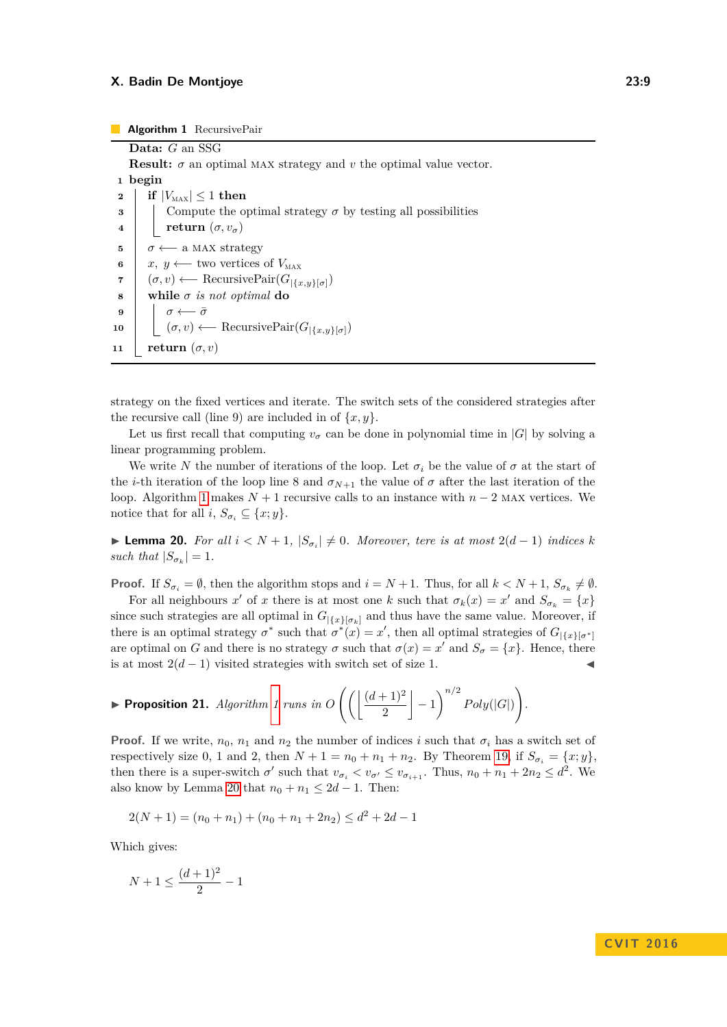<span id="page-8-0"></span>**Data:** *G* an SSG **Result:**  $\sigma$  an optimal MAX strategy and  $v$  the optimal value vector. **1 begin if**  $|V_{\text{MAX}}| \leq 1$  **then**  Compute the optimal strategy  $\sigma$  by testing all possibilities **c return**  $(\sigma, v_{\sigma})$   $\sigma \leftarrow$  a MAX strategy  $x, y \leftarrow$  two vertices of  $V_{\text{MAX}}$  (*σ, v*) ←− RecursivePair(*G*|{*x,y*}[*σ*]) **while** *σ is not optimal* **do 9** *σ* ← *σ*   $(σ, v) \leftarrow \text{RecursivePair}(G_{\vert \{x,y\}[\sigma]})$ **return**  $(\sigma, v)$ 

strategy on the fixed vertices and iterate. The switch sets of the considered strategies after the recursive call (line 9) are included in of  $\{x, y\}$ .

Let us first recall that computing  $v_\sigma$  can be done in polynomial time in  $|G|$  by solving a linear programming problem.

We write *N* the number of iterations of the loop. Let  $\sigma_i$  be the value of  $\sigma$  at the start of the *i*-th iteration of the loop line 8 and  $\sigma_{N+1}$  the value of  $\sigma$  after the last iteration of the loop. Algorithm [1](#page-8-0) makes  $N + 1$  recursive calls to an instance with  $n - 2$  MAX vertices. We notice that for all *i*,  $S_{\sigma_i} \subseteq \{x; y\}.$ 

<span id="page-8-1"></span>**► Lemma 20.** For all  $i < N + 1$ ,  $|S_{\sigma_i}| \neq 0$ . Moreover, tere is at most  $2(d-1)$  indices k *such that*  $|S_{\sigma_k}| = 1$ *.* 

**Proof.** If  $S_{\sigma_i} = \emptyset$ , then the algorithm stops and  $i = N + 1$ . Thus, for all  $k < N + 1$ ,  $S_{\sigma_k} \neq \emptyset$ .

For all neighbours  $x'$  of  $x$  there is at most one  $k$  such that  $\sigma_k(x) = x'$  and  $S_{\sigma_k} = \{x\}$ since such strategies are all optimal in  $G_{\{\{x\}\}\sigma_k]}$  and thus have the same value. Moreover, if there is an optimal strategy  $\sigma^*$  such that  $\sigma^*(x) = x'$ , then all optimal strategies of  $G_{\vert \{x\}[\sigma^*]}$ are optimal on *G* and there is no strategy  $\sigma$  such that  $\sigma(x) = x'$  and  $S_{\sigma} = \{x\}$ . Hence, there is at most  $2(d-1)$  visited strategies with switch set of size 1.

$$
\blacktriangleright \textbf{Proposition 21. } Algorithm \text{ } 1 \text{ runs in } O\left(\left(\left\lfloor\frac{(d+1)^2}{2}\right\rfloor-1\right)^{n/2} Poly(|G|)\right).
$$

**Proof.** If we write,  $n_0$ ,  $n_1$  and  $n_2$  the number of indices *i* such that  $\sigma_i$  has a switch set of respectively size 0, 1 and 2, then  $N + 1 = n_0 + n_1 + n_2$ . By Theorem [19,](#page-7-1) if  $S_{\sigma_i} = \{x, y\}$ , then there is a super-switch  $\sigma'$  such that  $v_{\sigma_i} < v_{\sigma'} \le v_{\sigma_{i+1}}$ . Thus,  $n_0 + n_1 + 2n_2 \le d^2$ . We also know by Lemma [20](#page-8-1) that  $n_0 + n_1 \leq 2d - 1$ . Then:

$$
2(N + 1) = (n_0 + n_1) + (n_0 + n_1 + 2n_2) \le d^2 + 2d - 1
$$

Which gives:

$$
N + 1 \le \frac{(d+1)^2}{2} - 1
$$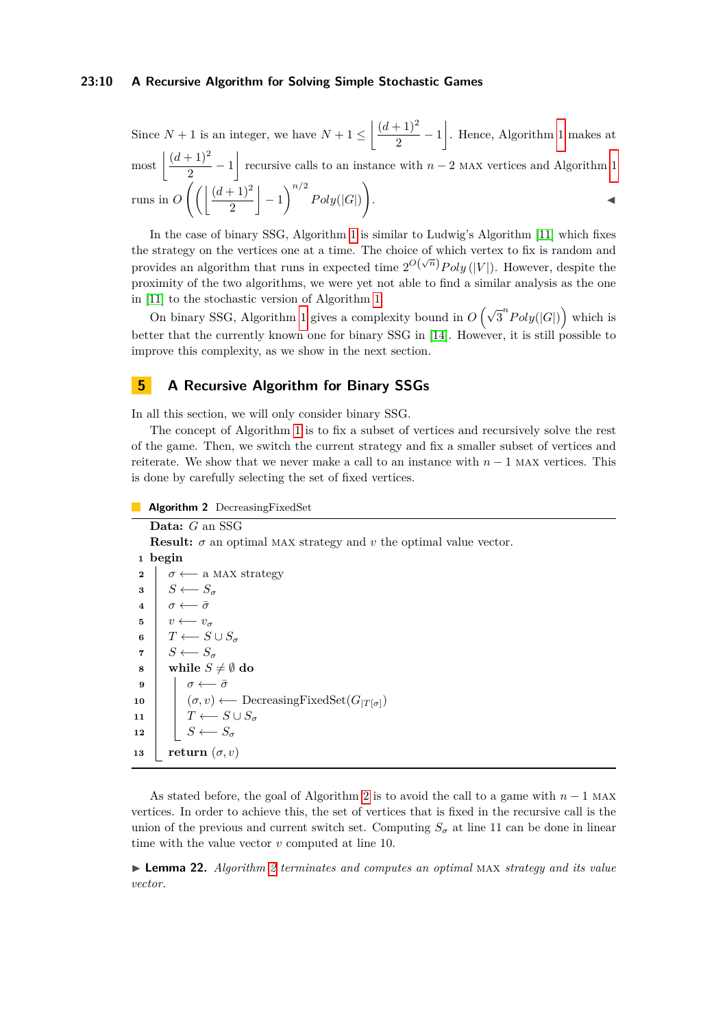### **23:10 A Recursive Algorithm for Solving Simple Stochastic Games**

Since  $N + 1$  is an integer, we have  $N + 1 \leq \left( \frac{(d+1)^2}{2} \right)$  $\left(\frac{(n+1)^2}{2} - 1\right)$  $\left(\frac{(n+1)^2}{2} - 1\right)$  $\left(\frac{(n+1)^2}{2} - 1\right)$ . Hence, Algorithm 1 makes at  $\arcsin \left( \frac{(d+1)^2}{2} \right)$  $\frac{(n+1)^2}{2} - 1$  $\frac{(n+1)^2}{2} - 1$  recursive calls to an instance with *n* − 2 MAX vertices and Algorithm 1 runs in  $O\left(\frac{d+1}{2}\right)$ 2  $\Big| -1 \Big|^{n/2} Poly(|G|)$  $\setminus$ . John Paris, John Paris, John Paris, John Paris, John Paris, John Paris, John Paris, John Paris, John Paris,

In the case of binary SSG, Algorithm [1](#page-8-0) is similar to Ludwig's Algorithm [\[11\]](#page-12-10) which fixes the strategy on the vertices one at a time. The choice of which vertex to fix is random and provides an algorithm that runs in expected time  $2^{O(\sqrt{n})}$ *Poly* (|*V*|). However, despite the proximity of the two algorithms, we were yet not able to find a similar analysis as the one in [\[11\]](#page-12-10) to the stochastic version of Algorithm [1.](#page-8-0)

On binary SSG, Algorithm [1](#page-8-0) gives a complexity bound in  $O(\sqrt{3}^nPoly(|G|))$  which is better that the currently known one for binary SSG in [\[14\]](#page-12-9). However, it is still possible to improve this complexity, as we show in the next section.

## <span id="page-9-0"></span>**5 A Recursive Algorithm for Binary SSGs**

In all this section, we will only consider binary SSG.

The concept of Algorithm [1](#page-8-0) is to fix a subset of vertices and recursively solve the rest of the game. Then, we switch the current strategy and fix a smaller subset of vertices and reiterate. We show that we never make a call to an instance with  $n-1$  MAX vertices. This is done by carefully selecting the set of fixed vertices.

#### **Algorithm 2** DecreasingFixedSet

# <span id="page-9-1"></span>**Data:** *G* an SSG **Result:**  $\sigma$  an optimal MAX strategy and  $v$  the optimal value vector. **<sup>1</sup> begin 2**  $\sigma \leftarrow$  a MAX strategy **3**  $S \leftarrow S_{\sigma}$ **4**  $\sigma$  ←  $\bar{\sigma}$ **5**  $v \leftarrow v_{\sigma}$ **6**  $\vert$  *T* ← *S* ∪ *S<sub><i>σ*</sub> **7**  $S \leftarrow S_{\sigma}$ **8 while**  $S \neq \emptyset$  do **9**  $\vert$  *σ* ←− *σ* **10**  $|$   $(\sigma, v)$  ← DecreasingFixedSet $(G_{|T[\sigma]})$ **11**  $\vert$  *T* ←− *S* ∪ *S*<sub>*σ*</sub> **12**  $\vert$  *S* ←− *S*<sub>*σ*</sub> **13 return**  $(\sigma, v)$

As stated before, the goal of Algorithm [2](#page-9-1) is to avoid the call to a game with *n* − 1 max vertices. In order to achieve this, the set of vertices that is fixed in the recursive call is the union of the previous and current switch set. Computing  $S_{\sigma}$  at line 11 can be done in linear time with the value vector *v* computed at line 10.

I **Lemma 22.** *Algorithm [2](#page-9-1) terminates and computes an optimal* max *strategy and its value vector.*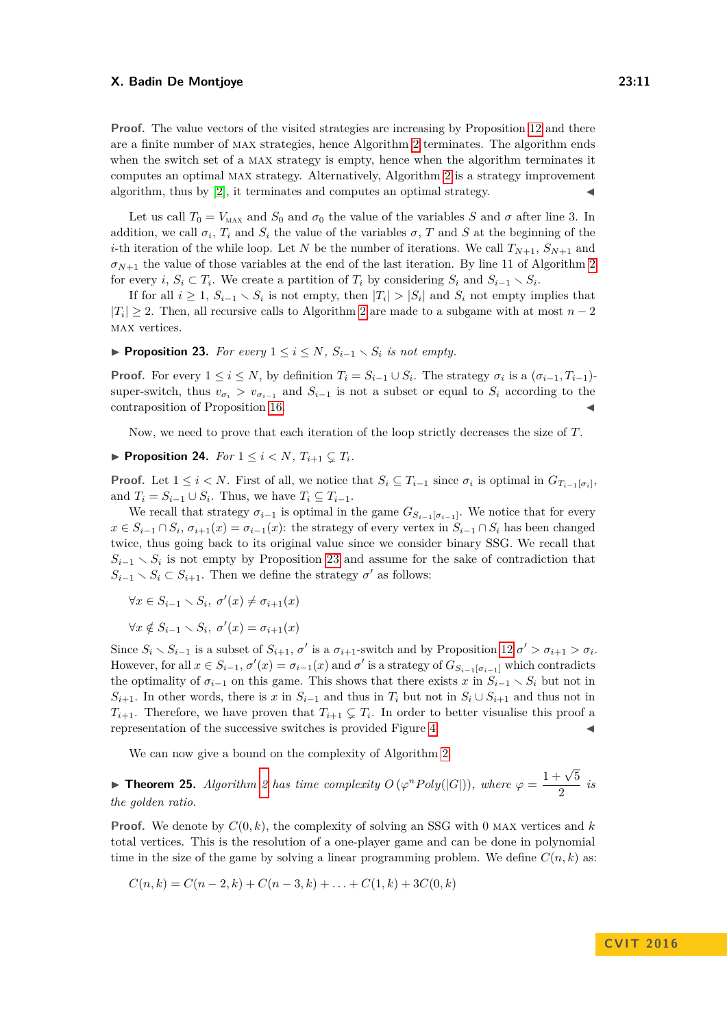**Proof.** The value vectors of the visited strategies are increasing by Proposition [12](#page-4-2) and there are a finite number of max strategies, hence Algorithm [2](#page-9-1) terminates. The algorithm ends when the switch set of a max strategy is empty, hence when the algorithm terminates it computes an optimal max strategy. Alternatively, Algorithm [2](#page-9-1) is a strategy improvement algorithm, thus by  $[2]$ , it terminates and computes an optimal strategy.

Let us call  $T_0 = V_{\text{MAX}}$  and  $S_0$  and  $\sigma_0$  the value of the variables *S* and  $\sigma$  after line 3. In addition, we call  $\sigma_i$ ,  $T_i$  and  $S_i$  the value of the variables  $\sigma$ ,  $T$  and  $S$  at the beginning of the *i*-th iteration of the while loop. Let *N* be the number of iterations. We call  $T_{N+1}$ ,  $S_{N+1}$  and  $\sigma_{N+1}$  the value of those variables at the end of the last iteration. By line 11 of Algorithm [2](#page-9-1) for every *i*,  $S_i \subset T_i$ . We create a partition of  $T_i$  by considering  $S_i$  and  $S_{i-1} \setminus S_i$ .

If for all  $i \geq 1$ ,  $S_{i-1} \setminus S_i$  is not empty, then  $|T_i| > |S_i|$  and  $S_i$  not empty implies that  $|T_i|$  ≥ [2](#page-9-1). Then, all recursive calls to Algorithm 2 are made to a subgame with at most  $n-2$ max vertices.

<span id="page-10-0"></span>▶ **Proposition 23.** *For every*  $1 \leq i \leq N$ *,*  $S_{i-1} \setminus S_i$  *is not empty.* 

**Proof.** For every  $1 \leq i \leq N$ , by definition  $T_i = S_{i-1} \cup S_i$ . The strategy  $\sigma_i$  is a  $(\sigma_{i-1}, T_{i-1})$ super-switch, thus  $v_{\sigma_i} > v_{\sigma_{i-1}}$  and  $S_{i-1}$  is not a subset or equal to  $S_i$  according to the contraposition of Proposition [16.](#page-4-3)

Now, we need to prove that each iteration of the loop strictly decreases the size of *T*.

<span id="page-10-1"></span>
$$
\blacktriangleright \text{ Proposition 24. For } 1 \leq i < N, \, T_{i+1} \subsetneq T_i.
$$

**Proof.** Let  $1 \leq i \leq N$ . First of all, we notice that  $S_i \subseteq T_{i-1}$  since  $\sigma_i$  is optimal in  $G_{T_{i-1}[\sigma_i]}$ and  $T_i = S_{i-1} \cup S_i$ . Thus, we have  $T_i \subseteq T_{i-1}$ .

We recall that strategy  $\sigma_{i-1}$  is optimal in the game  $G_{S_{i-1}[\sigma_{i-1}]}$ . We notice that for every *x* ∈  $S_i$ <sub>−1</sub> ∩  $S_i$ ,  $\sigma_{i+1}(x) = \sigma_{i-1}(x)$ : the strategy of every vertex in  $S_{i-1} \cap S_i$  has been changed twice, thus going back to its original value since we consider binary SSG. We recall that  $S_{i-1} \setminus S_i$  is not empty by Proposition [23](#page-10-0) and assume for the sake of contradiction that  $S_{i-1} \setminus S_i \subset S_{i+1}$ . Then we define the strategy  $\sigma'$  as follows:

$$
\forall x \in S_{i-1} \smallsetminus S_i, \ \sigma'(x) \neq \sigma_{i+1}(x)
$$

$$
\forall x \notin S_{i-1} \smallsetminus S_i, \ \sigma'(x) = \sigma_{i+1}(x)
$$

Since  $S_i \setminus S_{i-1}$  is a subset of  $S_{i+1}$ ,  $\sigma'$  is a  $\sigma_{i+1}$ -switch and by Proposition [12](#page-4-2)  $\sigma' > \sigma_{i+1} > \sigma_i$ . However, for all  $x \in S_{i-1}$ ,  $\sigma'(x) = \sigma_{i-1}(x)$  and  $\sigma'$  is a strategy of  $G_{S_{i-1}[\sigma_{i-1}]}$  which contradicts the optimality of  $\sigma_{i-1}$  on this game. This shows that there exists *x* in  $S_{i-1} \setminus S_i$  but not in *S*<sup>*i*</sup>+1. In other words, there is *x* in  $S$ <sup>*i*</sup>−1 and thus in  $T$ <sup>*i*</sup> but not in  $S$ <sup>*i*</sup> ∪  $S$ <sup>*i*+1</sup> and thus not in  $T_{i+1}$ . Therefore, we have proven that  $T_{i+1} \subsetneq T_i$ . In order to better visualise this proof a representation of the successive switches is provided Figure [4.](#page-11-0)

We can now give a bound on the complexity of Algorithm [2.](#page-9-1)

**► Theorem [2](#page-9-1)5.** *Algorithm 2 has time complexity*  $O(\varphi^n \text{Poly}(|G|))$ *, where*  $\varphi = \frac{1 + \sqrt{5}}{2}$  $\frac{1}{2}$  *is the golden ratio.*

**Proof.** We denote by *C*(0*, k*), the complexity of solving an SSG with 0 max vertices and *k* total vertices. This is the resolution of a one-player game and can be done in polynomial time in the size of the game by solving a linear programming problem. We define  $C(n, k)$  as:

$$
C(n,k) = C(n-2,k) + C(n-3,k) + \ldots + C(1,k) + 3C(0,k)
$$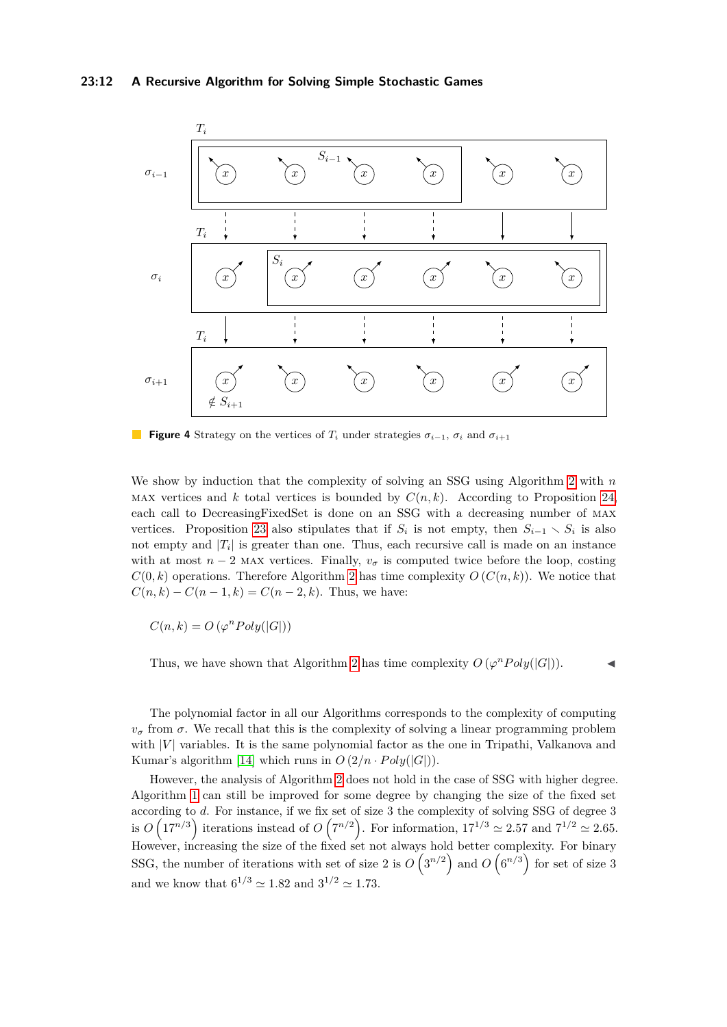<span id="page-11-0"></span>

**Figure 4** Strategy on the vertices of  $T_i$  under strategies  $\sigma_{i-1}$ ,  $\sigma_i$  and  $\sigma_{i+1}$ 

We show by induction that the complexity of solving an SSG using Algorithm [2](#page-9-1) with *n* MAX vertices and  $k$  total vertices is bounded by  $C(n, k)$ . According to Proposition [24,](#page-10-1) each call to DecreasingFixedSet is done on an SSG with a decreasing number of max vertices. Proposition [23](#page-10-0) also stipulates that if  $S_i$  is not empty, then  $S_{i-1} \setminus S_i$  is also not empty and  $|T_i|$  is greater than one. Thus, each recursive call is made on an instance with at most  $n-2$  MAX vertices. Finally,  $v_\sigma$  is computed twice before the loop, costing  $C(0, k)$  operations. Therefore Algorithm [2](#page-9-1) has time complexity  $O(C(n, k))$ . We notice that  $C(n, k) - C(n - 1, k) = C(n - 2, k)$ . Thus, we have:

 $C(n, k) = O(\varphi^n Poly(|G|))$ 

Thus, we have shown that Algorithm [2](#page-9-1) has time complexity  $O(\varphi^n \text{Poly}(|G|)).$ 

The polynomial factor in all our Algorithms corresponds to the complexity of computing *v<sub>σ</sub>* from *σ*. We recall that this is the complexity of solving a linear programming problem with  $|V|$  variables. It is the same polynomial factor as the one in Tripathi, Valkanova and Kumar's algorithm [\[14\]](#page-12-9) which runs in  $O(2/n \cdot Poly(|G|)).$ 

However, the analysis of Algorithm [2](#page-9-1) does not hold in the case of SSG with higher degree. Algorithm [1](#page-8-0) can still be improved for some degree by changing the size of the fixed set according to *d*. For instance, if we fix set of size 3 the complexity of solving SSG of degree 3 is  $O\left(17^{n/3}\right)$  iterations instead of  $O\left(7^{n/2}\right)$ . For information,  $17^{1/3} \simeq 2.57$  and  $7^{1/2} \simeq 2.65$ . However, increasing the size of the fixed set not always hold better complexity. For binary SSG, the number of iterations with set of size 2 is  $O(3^{n/2})$  and  $O(6^{n/3})$  for set of size 3 and we know that  $6^{1/3} \approx 1.82$  and  $3^{1/2} \approx 1.73$ .